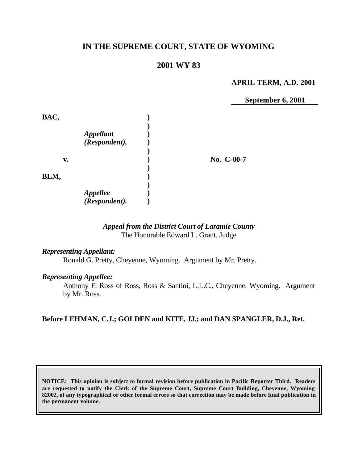# **IN THE SUPREME COURT, STATE OF WYOMING**

# **2001 WY 83**

#### **APRIL TERM, A.D. 2001**

**September 6, 2001**

| BAC, |                                   |            |
|------|-----------------------------------|------------|
|      | <b>Appellant</b><br>(Respondent), |            |
| v.   |                                   | No. C-00-7 |
| BLM, |                                   |            |
|      | <b>Appellee</b><br>(Respondent).  |            |

#### *Appeal from the District Court of Laramie County* The Honorable Edward L. Grant, Judge

### *Representing Appellant:*

Ronald G. Pretty, Cheyenne, Wyoming. Argument by Mr. Pretty.

#### *Representing Appellee:*

Anthony F. Ross of Ross, Ross & Santini, L.L.C., Cheyenne, Wyoming. Argument by Mr. Ross.

### **Before LEHMAN, C.J.; GOLDEN and KITE, JJ.; and DAN SPANGLER, D.J., Ret.**

**NOTICE: This opinion is subject to formal revision before publication in Pacific Reporter Third. Readers are requested to notify the Clerk of the Supreme Court, Supreme Court Building, Cheyenne, Wyoming 82002, of any typographical or other formal errors so that correction may be made before final publication in the permanent volume.**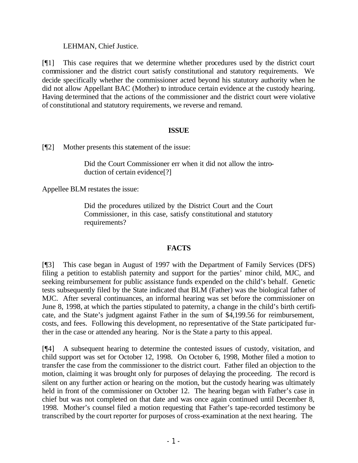LEHMAN, Chief Justice.

[¶1] This case requires that we determine whether procedures used by the district court commissioner and the district court satisfy constitutional and statutory requirements. We decide specifically whether the commissioner acted beyond his statutory authority when he did not allow Appellant BAC (Mother) to introduce certain evidence at the custody hearing. Having determined that the actions of the commissioner and the district court were violative of constitutional and statutory requirements, we reverse and remand.

### **ISSUE**

[¶2] Mother presents this statement of the issue:

Did the Court Commissioner err when it did not allow the introduction of certain evidence[?]

Appellee BLM restates the issue:

Did the procedures utilized by the District Court and the Court Commissioner, in this case, satisfy constitutional and statutory requirements?

# **FACTS**

[¶3] This case began in August of 1997 with the Department of Family Services (DFS) filing a petition to establish paternity and support for the parties' minor child, MJC, and seeking reimbursement for public assistance funds expended on the child's behalf. Genetic tests subsequently filed by the State indicated that BLM (Father) was the biological father of MJC. After several continuances, an informal hearing was set before the commissioner on June 8, 1998, at which the parties stipulated to paternity, a change in the child's birth certificate, and the State's judgment against Father in the sum of \$4,199.56 for reimbursement, costs, and fees. Following this development, no representative of the State participated further in the case or attended any hearing. Nor is the State a party to this appeal.

[¶4] A subsequent hearing to determine the contested issues of custody, visitation, and child support was set for October 12, 1998. On October 6, 1998, Mother filed a motion to transfer the case from the commissioner to the district court. Father filed an objection to the motion, claiming it was brought only for purposes of delaying the proceeding. The record is silent on any further action or hearing on the motion, but the custody hearing was ultimately held in front of the commissioner on October 12. The hearing began with Father's case in chief but was not completed on that date and was once again continued until December 8, 1998. Mother's counsel filed a motion requesting that Father's tape-recorded testimony be transcribed by the court reporter for purposes of cross-examination at the next hearing. The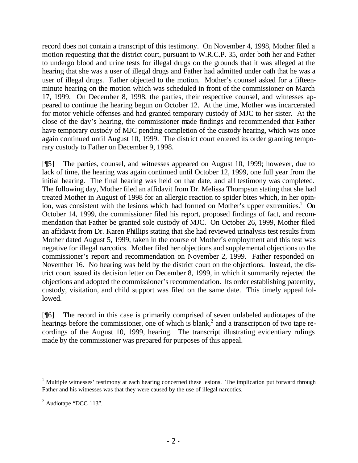record does not contain a transcript of this testimony. On November 4, 1998, Mother filed a motion requesting that the district court, pursuant to W.R.C.P. 35, order both her and Father to undergo blood and urine tests for illegal drugs on the grounds that it was alleged at the hearing that she was a user of illegal drugs and Father had admitted under oath that he was a user of illegal drugs. Father objected to the motion. Mother's counsel asked for a fifteenminute hearing on the motion which was scheduled in front of the commissioner on March 17, 1999. On December 8, 1998, the parties, their respective counsel, and witnesses appeared to continue the hearing begun on October 12. At the time, Mother was incarcerated for motor vehicle offenses and had granted temporary custody of MJC to her sister. At the close of the day's hearing, the commissioner made findings and recommended that Father have temporary custody of MJC pending completion of the custody hearing, which was once again continued until August 10, 1999. The district court entered its order granting temporary custody to Father on December 9, 1998.

[¶5] The parties, counsel, and witnesses appeared on August 10, 1999; however, due to lack of time, the hearing was again continued until October 12, 1999, one full year from the initial hearing. The final hearing was held on that date, and all testimony was completed. The following day, Mother filed an affidavit from Dr. Melissa Thompson stating that she had treated Mother in August of 1998 for an allergic reaction to spider bites which, in her opinion, was consistent with the lesions which had formed on Mother's upper extremities.<sup>1</sup> On October 14, 1999, the commissioner filed his report, proposed findings of fact, and recommendation that Father be granted sole custody of MJC. On October 26, 1999, Mother filed an affidavit from Dr. Karen Phillips stating that she had reviewed urinalysis test results from Mother dated August 5, 1999, taken in the course of Mother's employment and this test was negative for illegal narcotics. Mother filed her objections and supplemental objections to the commissioner's report and recommendation on November 2, 1999. Father responded on November 16. No hearing was held by the district court on the objections. Instead, the district court issued its decision letter on December 8, 1999, in which it summarily rejected the objections and adopted the commissioner's recommendation. Its order establishing paternity, custody, visitation, and child support was filed on the same date. This timely appeal followed.

[¶6] The record in this case is primarily comprised of seven unlabeled audiotapes of the hearings before the commissioner, one of which is blank,<sup>2</sup> and a transcription of two tape recordings of the August 10, 1999, hearing. The transcript illustrating evidentiary rulings made by the commissioner was prepared for purposes of this appeal.

<sup>&</sup>lt;sup>1</sup> Multiple witnesses' testimony at each hearing concerned these lesions. The implication put forward through Father and his witnesses was that they were caused by the use of illegal narcotics.

 $<sup>2</sup>$  Audiotape "DCC 113".</sup>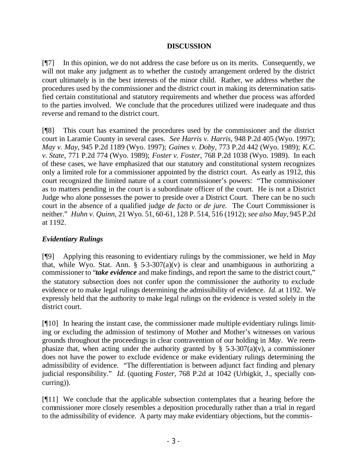### **DISCUSSION**

[¶7] In this opinion, we do not address the case before us on its merits. Consequently, we will not make any judgment as to whether the custody arrangement ordered by the district court ultimately is in the best interests of the minor child. Rather, we address whether the procedures used by the commissioner and the district court in making its determination satisfied certain constitutional and statutory requirements and whether due process was afforded to the parties involved. We conclude that the procedures utilized were inadequate and thus reverse and remand to the district court.

[¶8] This court has examined the procedures used by the commissioner and the district court in Laramie County in several cases. *See Harris v. Harris,* 948 P.2d 405 (Wyo. 1997); *May v. May,* 945 P.2d 1189 (Wyo. 1997); *Gaines v. Doby,* 773 P.2d 442 (Wyo. 1989); *K.C. v. State,* 771 P.2d 774 (Wyo. 1989); *Foster v. Foster,* 768 P.2d 1038 (Wyo. 1989). In each of these cases, we have emphasized that our statutory and constitutional system recognizes only a limited role for a commissioner appointed by the district court. As early as 1912, this court recognized the limited nature of a court commissioner's powers: "The commissioner as to matters pending in the court is a subordinate officer of the court. He is not a District Judge who alone possesses the power to preside over a District Court. There can be no such court in the absence of a qualified judge *de facto* or *de jure.* The Court Commissioner is neither." *Huhn v. Quinn,* 21 Wyo. 51, 60-61, 128 P. 514, 516 (1912); *see also May,* 945 P.2d at 1192.

### *Evidentiary Rulings*

[¶9] Applying this reasoning to evidentiary rulings by the commissioner, we held in *May*  that, while Wyo. Stat. Ann.  $\S$  5-3-307(a)(v) is clear and unambiguous in authorizing a commissioner to "*take evidence* and make findings, and report the same to the district court," the statutory subsection does not confer upon the commissioner the authority to exclude evidence or to make legal rulings determining the admissibility of evidence. *Id.* at 1192. We expressly held that the authority to make legal rulings on the evidence is vested solely in the district court.

[¶10] In hearing the instant case, the commissioner made multiple evidentiary rulings limiting or excluding the admission of testimony of Mother and Mother's witnesses on various grounds throughout the proceedings in clear contravention of our holding in *May*. We reemphasize that, when acting under the authority granted by  $\S$  5-3-307(a)(v), a commissioner does not have the power to exclude evidence or make evidentiary rulings determining the admissibility of evidence. "The differentiation is between adjunct fact finding and plenary judicial responsibility." *Id.* (quoting *Foster,* 768 P.2d at 1042 (Urbigkit, J., specially concurring)).

[¶11] We conclude that the applicable subsection contemplates that a hearing before the commissioner more closely resembles a deposition procedurally rather than a trial in regard to the admissibility of evidence. A party may make evidentiary objections, but the commis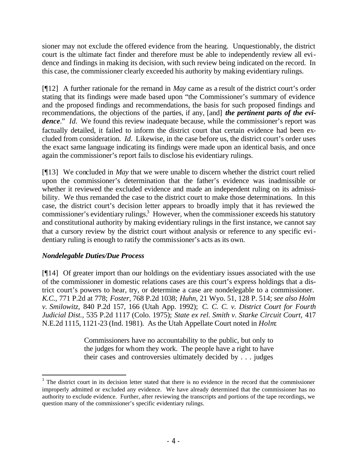sioner may not exclude the offered evidence from the hearing. Unquestionably, the district court is the ultimate fact finder and therefore must be able to independently review all evidence and findings in making its decision, with such review being indicated on the record. In this case, the commissioner clearly exceeded his authority by making evidentiary rulings.

[¶12] A further rationale for the remand in *May* came as a result of the district court's order stating that its findings were made based upon "the Commissioner's summary of evidence and the proposed findings and recommendations, the basis for such proposed findings and recommendations, the objections of the parties, if any, [and] *the pertinent parts of the evidence*." *Id.* We found this review inadequate because, while the commissioner's report was factually detailed, it failed to inform the district court that certain evidence had been excluded from consideration. *Id.* Likewise, in the case before us, the district court's order uses the exact same language indicating its findings were made upon an identical basis, and once again the commissioner's report fails to disclose his evidentiary rulings.

[¶13] We concluded in *May* that we were unable to discern whether the district court relied upon the commissioner's determination that the father's evidence was inadmissible or whether it reviewed the excluded evidence and made an independent ruling on its admissibility. We thus remanded the case to the district court to make those determinations. In this case, the district court's decision letter appears to broadly imply that it has reviewed the commissioner's evidentiary rulings.<sup>3</sup> However, when the commissioner exceeds his statutory and constitutional authority by making evidentiary rulings in the first instance, we cannot say that a cursory review by the district court without analysis or reference to any specific evidentiary ruling is enough to ratify the commissioner's acts as its own.

### *Nondelegable Duties/Due Process*

[¶14] Of greater import than our holdings on the evidentiary issues associated with the use of the commissioner in domestic relations cases are this court's express holdings that a district court's powers to hear, try, or determine a case are nondelegable to a commissioner. *K.C.,* 771 P.2d at 778; *Foster,* 768 P.2d 1038; *Huhn,* 21 Wyo. 51, 128 P. 514; *see also Holm v. Smilowitz,* 840 P.2d 157, 166 (Utah App. 1992); *C. C. C. v. District Court for Fourth Judicial Dist.,* 535 P.2d 1117 (Colo. 1975); *State ex rel. Smith v. Starke Circuit Court,* 417 N.E.2d 1115, 1121-23 (Ind. 1981)*.* As the Utah Appellate Court noted in *Holm*:

> Commissioners have no accountability to the public, but only to the judges for whom they work. The people have a right to have their cases and controversies ultimately decided by . . . judges

 $3$  The district court in its decision letter stated that there is no evidence in the record that the commissioner improperly admitted or excluded any evidence. We have already determined that the commissioner has no authority to exclude evidence. Further, after reviewing the transcripts and portions of the tape recordings, we question many of the commissioner's specific evidentiary rulings.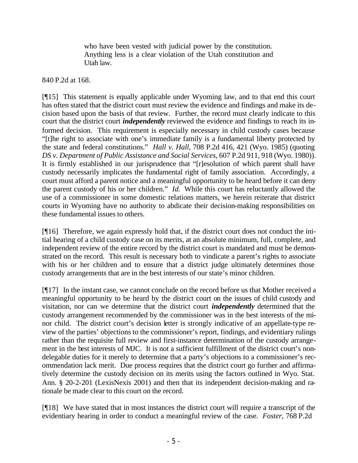who have been vested with judicial power by the constitution. Anything less is a clear violation of the Utah constitution and Utah law.

#### 840 P.2d at 168.

[¶15] This statement is equally applicable under Wyoming law, and to that end this court has often stated that the district court must review the evidence and findings and make its decision based upon the basis of that review. Further, the record must clearly indicate to this court that the district court *independently* reviewed the evidence and findings to reach its informed decision. This requirement is especially necessary in child custody cases because "[t]he right to associate with one's immediate family is a fundamental liberty protected by the state and federal constitutions." *Hall v. Hall*, 708 P.2d 416, 421 (Wyo. 1985) (quoting *DS v. Department of Public Assistance and Social Services*, 607 P.2d 911, 918 (Wyo. 1980)). It is firmly established in our jurisprudence that "[r]esolution of which parent shall have custody necessarily implicates the fundamental right of family association. Accordingly, a court must afford a parent notice and a meaningful opportunity to be heard before it can deny the parent custody of his or her children." *Id.* While this court has reluctantly allowed the use of a commissioner in some domestic relations matters, we herein reiterate that district courts in Wyoming have no authority to abdicate their decision-making responsibilities on these fundamental issues to others.

[¶16] Therefore, we again expressly hold that, if the district court does not conduct the initial hearing of a child custody case on its merits, at an absolute minimum, full, complete, and independent review of the entire record by the district court is mandated and must be demonstrated on the record. This result is necessary both to vindicate a parent's rights to associate with his or her children and to ensure that a district judge ultimately determines those custody arrangements that are in the best interests of our state's minor children.

[¶17] In the instant case, we cannot conclude on the record before us that Mother received a meaningful opportunity to be heard by the district court on the issues of child custody and visitation, nor can we determine that the district court *independently* determined that the custody arrangement recommended by the commissioner was in the best interests of the minor child. The district court's decision letter is strongly indicative of an appellate-type review of the parties' objections to the commissioner's report, findings, and evidentiary rulings rather than the requisite full review and first-instance determination of the custody arrangement in the best interests of MJC. It is not a sufficient fulfillment of the district court's nondelegable duties for it merely to determine that a party's objections to a commissioner's recommendation lack merit. Due process requires that the district court go further and affirmatively determine the custody decision on its merits using the factors outlined in Wyo. Stat. Ann. § 20-2-201 (LexisNexis 2001) and then that its independent decision-making and rationale be made clear to this court on the record.

[¶18] We have stated that in most instances the district court will require a transcript of the evidentiary hearing in order to conduct a meaningful review of the case. *Foster,* 768 P.2d